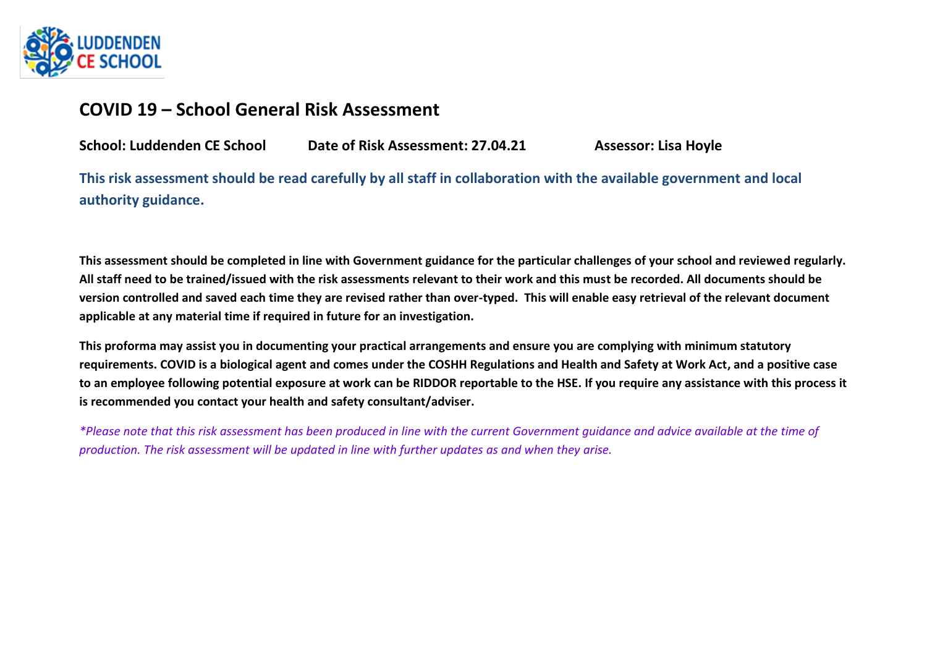

## **COVID 19 – School General Risk Assessment**

**School: Luddenden CE School Date of Risk Assessment: 27.04.21 Assessor: Lisa Hoyle**

**This risk assessment should be read carefully by all staff in collaboration with the available government and local authority guidance.** 

**This assessment should be completed in line with Government guidance for the particular challenges of your school and reviewed regularly. All staff need to be trained/issued with the risk assessments relevant to their work and this must be recorded. All documents should be version controlled and saved each time they are revised rather than over-typed. This will enable easy retrieval of the relevant document applicable at any material time if required in future for an investigation.**

**This proforma may assist you in documenting your practical arrangements and ensure you are complying with minimum statutory requirements. COVID is a biological agent and comes under the COSHH Regulations and Health and Safety at Work Act, and a positive case to an employee following potential exposure at work can be RIDDOR reportable to the HSE. If you require any assistance with this process it is recommended you contact your health and safety consultant/adviser.**

*\*Please note that this risk assessment has been produced in line with the current Government guidance and advice available at the time of production. The risk assessment will be updated in line with further updates as and when they arise.*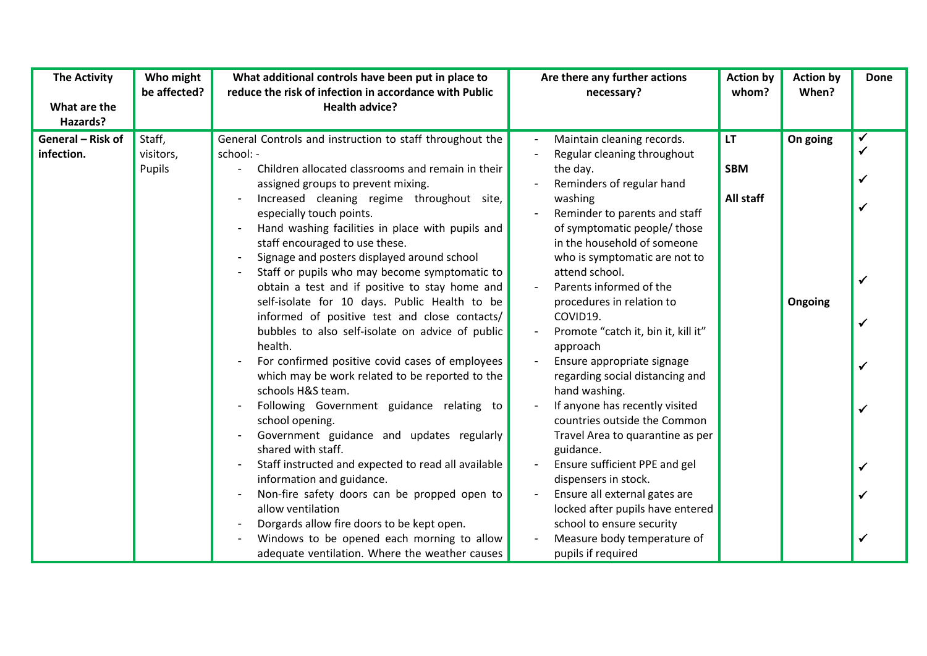| <b>The Activity</b>             | Who might<br>be affected?     | What additional controls have been put in place to<br>reduce the risk of infection in accordance with Public                                                                                                                                                                                                                                                                                                                                                                                                                                                                                                                                                                                                                                                                                                                                                                                                      | Are there any further actions<br>necessary?                                                                                                                                                                                                                                                                                                                                                                                                                                                                                                                                                  | <b>Action by</b><br>whom?            | <b>Action by</b><br>When? | <b>Done</b>  |
|---------------------------------|-------------------------------|-------------------------------------------------------------------------------------------------------------------------------------------------------------------------------------------------------------------------------------------------------------------------------------------------------------------------------------------------------------------------------------------------------------------------------------------------------------------------------------------------------------------------------------------------------------------------------------------------------------------------------------------------------------------------------------------------------------------------------------------------------------------------------------------------------------------------------------------------------------------------------------------------------------------|----------------------------------------------------------------------------------------------------------------------------------------------------------------------------------------------------------------------------------------------------------------------------------------------------------------------------------------------------------------------------------------------------------------------------------------------------------------------------------------------------------------------------------------------------------------------------------------------|--------------------------------------|---------------------------|--------------|
| What are the                    |                               | <b>Health advice?</b>                                                                                                                                                                                                                                                                                                                                                                                                                                                                                                                                                                                                                                                                                                                                                                                                                                                                                             |                                                                                                                                                                                                                                                                                                                                                                                                                                                                                                                                                                                              |                                      |                           |              |
| Hazards?                        |                               |                                                                                                                                                                                                                                                                                                                                                                                                                                                                                                                                                                                                                                                                                                                                                                                                                                                                                                                   |                                                                                                                                                                                                                                                                                                                                                                                                                                                                                                                                                                                              |                                      |                           |              |
| General - Risk of<br>infection. | Staff,<br>visitors,<br>Pupils | General Controls and instruction to staff throughout the<br>school: -<br>Children allocated classrooms and remain in their<br>assigned groups to prevent mixing.<br>Increased cleaning regime throughout site,<br>especially touch points.<br>Hand washing facilities in place with pupils and<br>staff encouraged to use these.<br>Signage and posters displayed around school<br>Staff or pupils who may become symptomatic to<br>obtain a test and if positive to stay home and<br>self-isolate for 10 days. Public Health to be<br>informed of positive test and close contacts/<br>bubbles to also self-isolate on advice of public<br>health.<br>For confirmed positive covid cases of employees<br>which may be work related to be reported to the<br>schools H&S team.<br>Following Government guidance relating to<br>school opening.<br>Government guidance and updates regularly<br>shared with staff. | Maintain cleaning records.<br>Regular cleaning throughout<br>the day.<br>Reminders of regular hand<br>washing<br>Reminder to parents and staff<br>of symptomatic people/ those<br>in the household of someone<br>who is symptomatic are not to<br>attend school.<br>Parents informed of the<br>procedures in relation to<br>COVID19.<br>Promote "catch it, bin it, kill it"<br>approach<br>Ensure appropriate signage<br>regarding social distancing and<br>hand washing.<br>If anyone has recently visited<br>countries outside the Common<br>Travel Area to quarantine as per<br>guidance. | <b>LT</b><br><b>SBM</b><br>All staff | On going<br>Ongoing       | $\checkmark$ |
|                                 |                               | Staff instructed and expected to read all available<br>information and guidance.                                                                                                                                                                                                                                                                                                                                                                                                                                                                                                                                                                                                                                                                                                                                                                                                                                  | Ensure sufficient PPE and gel<br>dispensers in stock.                                                                                                                                                                                                                                                                                                                                                                                                                                                                                                                                        |                                      |                           |              |
|                                 |                               | Non-fire safety doors can be propped open to<br>allow ventilation                                                                                                                                                                                                                                                                                                                                                                                                                                                                                                                                                                                                                                                                                                                                                                                                                                                 | Ensure all external gates are<br>locked after pupils have entered                                                                                                                                                                                                                                                                                                                                                                                                                                                                                                                            |                                      |                           |              |
|                                 |                               | Dorgards allow fire doors to be kept open.<br>Windows to be opened each morning to allow<br>adequate ventilation. Where the weather causes                                                                                                                                                                                                                                                                                                                                                                                                                                                                                                                                                                                                                                                                                                                                                                        | school to ensure security<br>Measure body temperature of<br>pupils if required                                                                                                                                                                                                                                                                                                                                                                                                                                                                                                               |                                      |                           |              |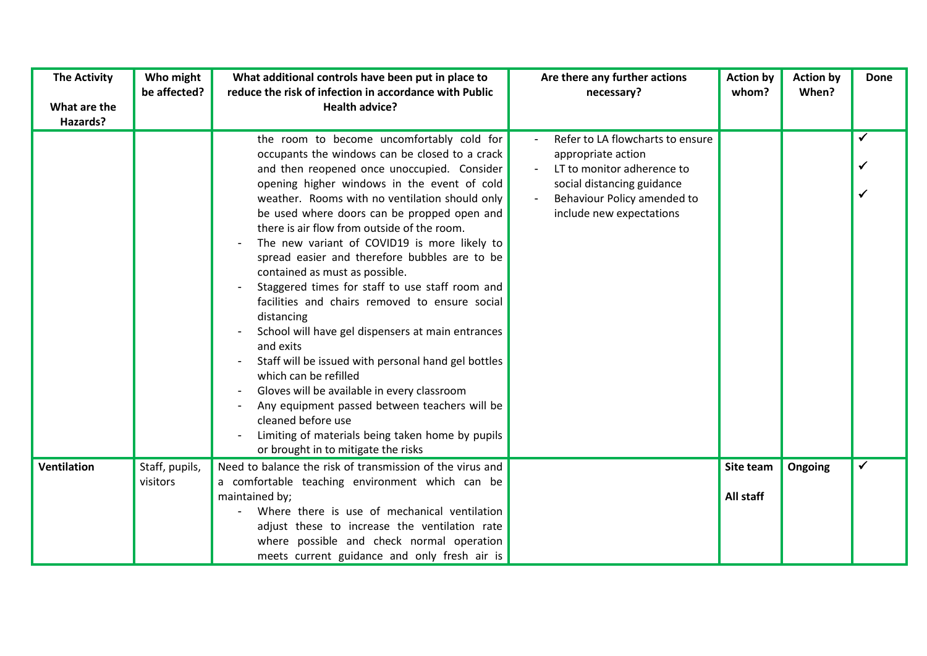| <b>The Activity</b>      | Who might<br>be affected?  | What additional controls have been put in place to<br>reduce the risk of infection in accordance with Public                                                                                                                                                                                                                                                                                                                                                                                                                                                                                                                                                                                                                                                                                                                                                                                                                                                       | Are there any further actions<br>necessary?                                                                                                                                   | <b>Action by</b><br>whom? | <b>Action by</b><br>When? | <b>Done</b>  |
|--------------------------|----------------------------|--------------------------------------------------------------------------------------------------------------------------------------------------------------------------------------------------------------------------------------------------------------------------------------------------------------------------------------------------------------------------------------------------------------------------------------------------------------------------------------------------------------------------------------------------------------------------------------------------------------------------------------------------------------------------------------------------------------------------------------------------------------------------------------------------------------------------------------------------------------------------------------------------------------------------------------------------------------------|-------------------------------------------------------------------------------------------------------------------------------------------------------------------------------|---------------------------|---------------------------|--------------|
| What are the<br>Hazards? |                            | <b>Health advice?</b>                                                                                                                                                                                                                                                                                                                                                                                                                                                                                                                                                                                                                                                                                                                                                                                                                                                                                                                                              |                                                                                                                                                                               |                           |                           |              |
|                          |                            | the room to become uncomfortably cold for<br>occupants the windows can be closed to a crack<br>and then reopened once unoccupied. Consider<br>opening higher windows in the event of cold<br>weather. Rooms with no ventilation should only<br>be used where doors can be propped open and<br>there is air flow from outside of the room.<br>The new variant of COVID19 is more likely to<br>spread easier and therefore bubbles are to be<br>contained as must as possible.<br>Staggered times for staff to use staff room and<br>facilities and chairs removed to ensure social<br>distancing<br>School will have gel dispensers at main entrances<br>and exits<br>Staff will be issued with personal hand gel bottles<br>which can be refilled<br>Gloves will be available in every classroom<br>Any equipment passed between teachers will be<br>cleaned before use<br>Limiting of materials being taken home by pupils<br>or brought in to mitigate the risks | Refer to LA flowcharts to ensure<br>appropriate action<br>LT to monitor adherence to<br>social distancing guidance<br>Behaviour Policy amended to<br>include new expectations |                           |                           | $\checkmark$ |
| <b>Ventilation</b>       | Staff, pupils,<br>visitors | Need to balance the risk of transmission of the virus and<br>a comfortable teaching environment which can be                                                                                                                                                                                                                                                                                                                                                                                                                                                                                                                                                                                                                                                                                                                                                                                                                                                       |                                                                                                                                                                               | Site team                 | Ongoing                   | $\checkmark$ |
|                          |                            | maintained by;                                                                                                                                                                                                                                                                                                                                                                                                                                                                                                                                                                                                                                                                                                                                                                                                                                                                                                                                                     |                                                                                                                                                                               | All staff                 |                           |              |
|                          |                            | Where there is use of mechanical ventilation                                                                                                                                                                                                                                                                                                                                                                                                                                                                                                                                                                                                                                                                                                                                                                                                                                                                                                                       |                                                                                                                                                                               |                           |                           |              |
|                          |                            | adjust these to increase the ventilation rate<br>where possible and check normal operation                                                                                                                                                                                                                                                                                                                                                                                                                                                                                                                                                                                                                                                                                                                                                                                                                                                                         |                                                                                                                                                                               |                           |                           |              |
|                          |                            | meets current guidance and only fresh air is                                                                                                                                                                                                                                                                                                                                                                                                                                                                                                                                                                                                                                                                                                                                                                                                                                                                                                                       |                                                                                                                                                                               |                           |                           |              |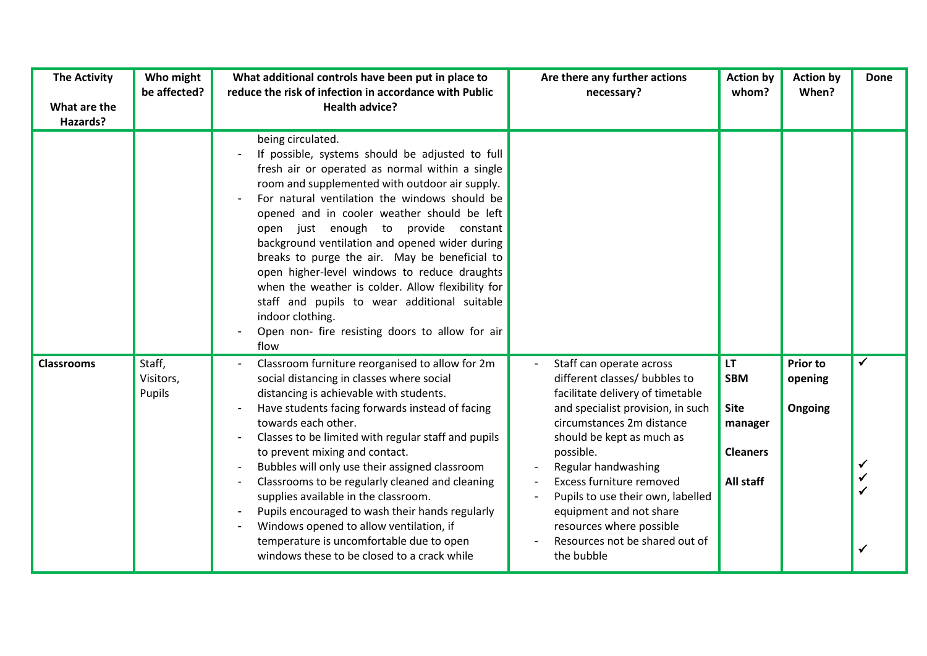| <b>The Activity</b><br>What are the<br>Hazards? | Who might<br>be affected?     | What additional controls have been put in place to<br>reduce the risk of infection in accordance with Public<br><b>Health advice?</b>                                                                                                                                                                                                                                                                                                                                                                                                                                                                                                                    | Are there any further actions<br>necessary?                                                                                                                                                                                                                                                                                                                                                              | <b>Action by</b><br>whom?                                                  | <b>Action by</b><br>When?             | <b>Done</b>       |
|-------------------------------------------------|-------------------------------|----------------------------------------------------------------------------------------------------------------------------------------------------------------------------------------------------------------------------------------------------------------------------------------------------------------------------------------------------------------------------------------------------------------------------------------------------------------------------------------------------------------------------------------------------------------------------------------------------------------------------------------------------------|----------------------------------------------------------------------------------------------------------------------------------------------------------------------------------------------------------------------------------------------------------------------------------------------------------------------------------------------------------------------------------------------------------|----------------------------------------------------------------------------|---------------------------------------|-------------------|
|                                                 |                               | being circulated.<br>If possible, systems should be adjusted to full<br>fresh air or operated as normal within a single<br>room and supplemented with outdoor air supply.<br>For natural ventilation the windows should be<br>opened and in cooler weather should be left<br>open just enough to provide constant<br>background ventilation and opened wider during<br>breaks to purge the air. May be beneficial to<br>open higher-level windows to reduce draughts<br>when the weather is colder. Allow flexibility for<br>staff and pupils to wear additional suitable<br>indoor clothing.<br>Open non- fire resisting doors to allow for air<br>flow |                                                                                                                                                                                                                                                                                                                                                                                                          |                                                                            |                                       |                   |
| <b>Classrooms</b>                               | Staff,<br>Visitors,<br>Pupils | Classroom furniture reorganised to allow for 2m<br>social distancing in classes where social<br>distancing is achievable with students.<br>Have students facing forwards instead of facing<br>towards each other.<br>Classes to be limited with regular staff and pupils<br>to prevent mixing and contact.<br>Bubbles will only use their assigned classroom<br>Classrooms to be regularly cleaned and cleaning<br>supplies available in the classroom.<br>Pupils encouraged to wash their hands regularly<br>Windows opened to allow ventilation, if<br>temperature is uncomfortable due to open<br>windows these to be closed to a crack while         | Staff can operate across<br>different classes/ bubbles to<br>facilitate delivery of timetable<br>and specialist provision, in such<br>circumstances 2m distance<br>should be kept as much as<br>possible.<br>Regular handwashing<br>Excess furniture removed<br>Pupils to use their own, labelled<br>equipment and not share<br>resources where possible<br>Resources not be shared out of<br>the bubble | LT<br><b>SBM</b><br><b>Site</b><br>manager<br><b>Cleaners</b><br>All staff | <b>Prior to</b><br>opening<br>Ongoing | $\checkmark$<br>✓ |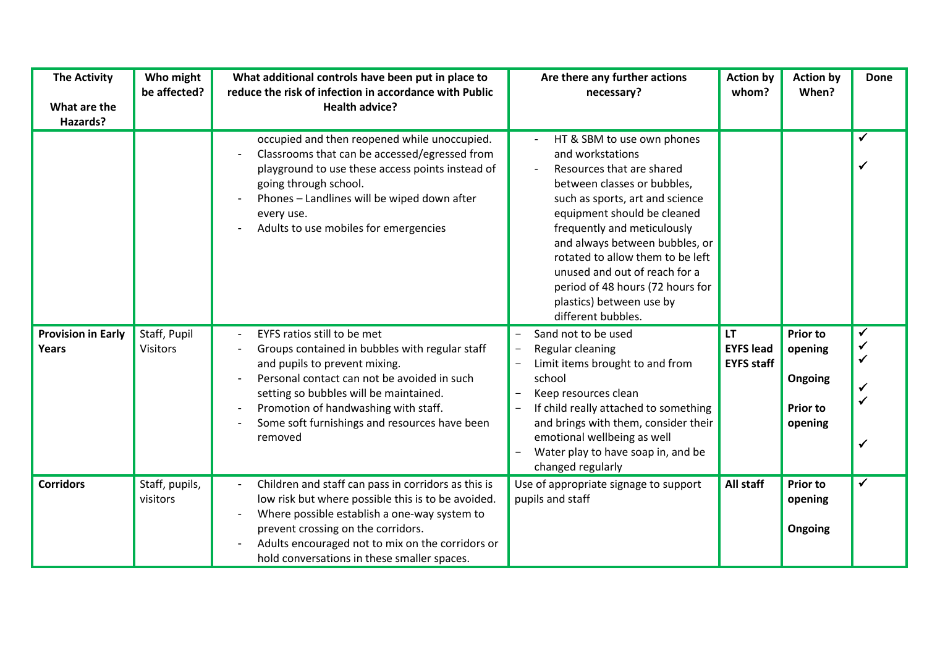| <b>The Activity</b><br>What are the<br>Hazards? | Who might<br>be affected?       | What additional controls have been put in place to<br>reduce the risk of infection in accordance with Public<br><b>Health advice?</b>                                                                                                                                                                       | Are there any further actions<br>necessary?                                                                                                                                                                                                                                                                                                                                                              | <b>Action by</b><br>whom?                          | <b>Action by</b><br>When?                                           | <b>Done</b> |
|-------------------------------------------------|---------------------------------|-------------------------------------------------------------------------------------------------------------------------------------------------------------------------------------------------------------------------------------------------------------------------------------------------------------|----------------------------------------------------------------------------------------------------------------------------------------------------------------------------------------------------------------------------------------------------------------------------------------------------------------------------------------------------------------------------------------------------------|----------------------------------------------------|---------------------------------------------------------------------|-------------|
|                                                 |                                 | occupied and then reopened while unoccupied.<br>Classrooms that can be accessed/egressed from<br>playground to use these access points instead of<br>going through school.<br>Phones - Landlines will be wiped down after<br>every use.<br>Adults to use mobiles for emergencies                            | HT & SBM to use own phones<br>and workstations<br>Resources that are shared<br>between classes or bubbles,<br>such as sports, art and science<br>equipment should be cleaned<br>frequently and meticulously<br>and always between bubbles, or<br>rotated to allow them to be left<br>unused and out of reach for a<br>period of 48 hours (72 hours for<br>plastics) between use by<br>different bubbles. |                                                    |                                                                     | ✓           |
| <b>Provision in Early</b><br>Years              | Staff, Pupil<br><b>Visitors</b> | EYFS ratios still to be met<br>Groups contained in bubbles with regular staff<br>and pupils to prevent mixing.<br>Personal contact can not be avoided in such<br>setting so bubbles will be maintained.<br>Promotion of handwashing with staff.<br>Some soft furnishings and resources have been<br>removed | Sand not to be used<br>Regular cleaning<br>Limit items brought to and from<br>school<br>Keep resources clean<br>If child really attached to something<br>and brings with them, consider their<br>emotional wellbeing as well<br>Water play to have soap in, and be<br>changed regularly                                                                                                                  | <b>LT</b><br><b>EYFS lead</b><br><b>EYFS staff</b> | <b>Prior to</b><br>opening<br>Ongoing<br><b>Prior to</b><br>opening |             |
| <b>Corridors</b>                                | Staff, pupils,<br>visitors      | Children and staff can pass in corridors as this is<br>low risk but where possible this is to be avoided.<br>Where possible establish a one-way system to<br>prevent crossing on the corridors.<br>Adults encouraged not to mix on the corridors or<br>hold conversations in these smaller spaces.          | Use of appropriate signage to support<br>pupils and staff                                                                                                                                                                                                                                                                                                                                                | All staff                                          | <b>Prior to</b><br>opening<br>Ongoing                               |             |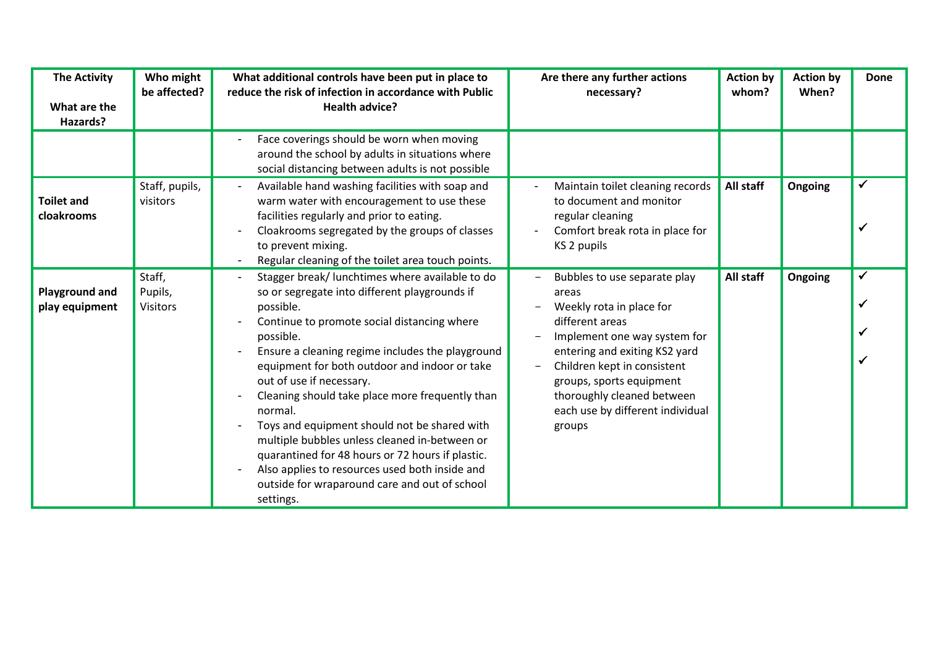| <b>The Activity</b><br>What are the<br>Hazards? | Who might<br>be affected?            | What additional controls have been put in place to<br>reduce the risk of infection in accordance with Public<br>Health advice?                                                                                                                                                                                                                                                                                                                                                                                                                                                                                                                | Are there any further actions<br>necessary?                                                                                                                                                                                                                                                  | <b>Action by</b><br>whom? | <b>Action by</b><br>When? | <b>Done</b> |
|-------------------------------------------------|--------------------------------------|-----------------------------------------------------------------------------------------------------------------------------------------------------------------------------------------------------------------------------------------------------------------------------------------------------------------------------------------------------------------------------------------------------------------------------------------------------------------------------------------------------------------------------------------------------------------------------------------------------------------------------------------------|----------------------------------------------------------------------------------------------------------------------------------------------------------------------------------------------------------------------------------------------------------------------------------------------|---------------------------|---------------------------|-------------|
|                                                 |                                      | Face coverings should be worn when moving<br>around the school by adults in situations where<br>social distancing between adults is not possible                                                                                                                                                                                                                                                                                                                                                                                                                                                                                              |                                                                                                                                                                                                                                                                                              |                           |                           |             |
| <b>Toilet and</b><br>cloakrooms                 | Staff, pupils,<br>visitors           | Available hand washing facilities with soap and<br>warm water with encouragement to use these<br>facilities regularly and prior to eating.<br>Cloakrooms segregated by the groups of classes<br>to prevent mixing.<br>Regular cleaning of the toilet area touch points.                                                                                                                                                                                                                                                                                                                                                                       | Maintain toilet cleaning records<br>to document and monitor<br>regular cleaning<br>Comfort break rota in place for<br>KS 2 pupils                                                                                                                                                            | All staff                 | Ongoing                   |             |
| <b>Playground and</b><br>play equipment         | Staff,<br>Pupils,<br><b>Visitors</b> | Stagger break/ lunchtimes where available to do<br>so or segregate into different playgrounds if<br>possible.<br>Continue to promote social distancing where<br>possible.<br>Ensure a cleaning regime includes the playground<br>equipment for both outdoor and indoor or take<br>out of use if necessary.<br>Cleaning should take place more frequently than<br>normal.<br>Toys and equipment should not be shared with<br>multiple bubbles unless cleaned in-between or<br>quarantined for 48 hours or 72 hours if plastic.<br>Also applies to resources used both inside and<br>outside for wraparound care and out of school<br>settings. | Bubbles to use separate play<br>areas<br>Weekly rota in place for<br>different areas<br>Implement one way system for<br>entering and exiting KS2 yard<br>Children kept in consistent<br>groups, sports equipment<br>thoroughly cleaned between<br>each use by different individual<br>groups | All staff                 | Ongoing                   |             |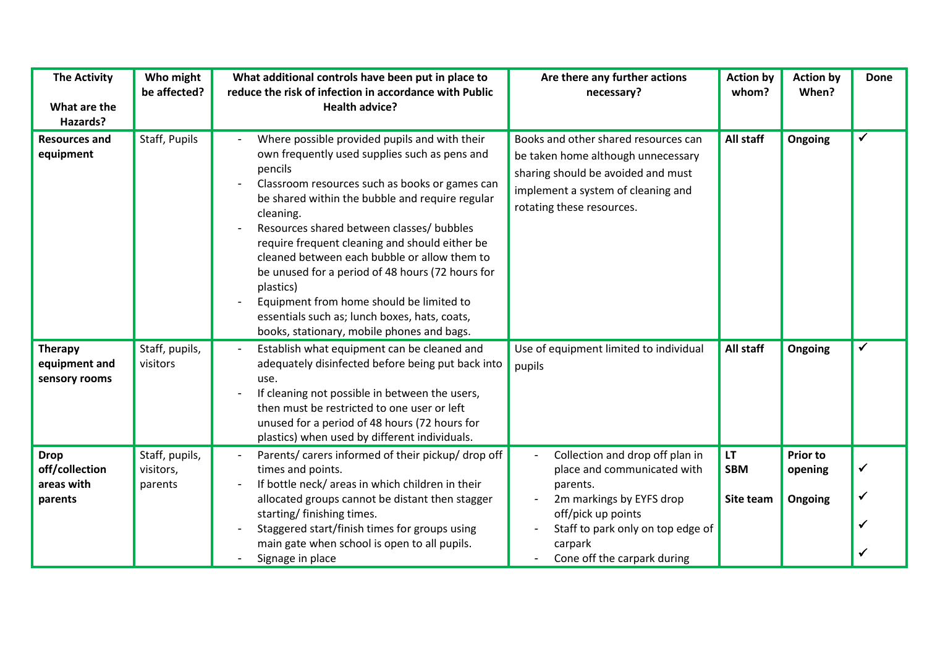| <b>The Activity</b><br>What are the<br>Hazards?        | Who might<br>be affected?              | What additional controls have been put in place to<br>reduce the risk of infection in accordance with Public<br><b>Health advice?</b>                                                                                                                                                                                                                                                                                                                                                                                                                                                  | Are there any further actions<br>necessary?                                                                                                                                                                 | <b>Action by</b><br>whom?            | <b>Action by</b><br>When?             | <b>Done</b>  |
|--------------------------------------------------------|----------------------------------------|----------------------------------------------------------------------------------------------------------------------------------------------------------------------------------------------------------------------------------------------------------------------------------------------------------------------------------------------------------------------------------------------------------------------------------------------------------------------------------------------------------------------------------------------------------------------------------------|-------------------------------------------------------------------------------------------------------------------------------------------------------------------------------------------------------------|--------------------------------------|---------------------------------------|--------------|
| <b>Resources and</b><br>equipment                      | Staff, Pupils                          | Where possible provided pupils and with their<br>own frequently used supplies such as pens and<br>pencils<br>Classroom resources such as books or games can<br>be shared within the bubble and require regular<br>cleaning.<br>Resources shared between classes/ bubbles<br>require frequent cleaning and should either be<br>cleaned between each bubble or allow them to<br>be unused for a period of 48 hours (72 hours for<br>plastics)<br>Equipment from home should be limited to<br>essentials such as; lunch boxes, hats, coats,<br>books, stationary, mobile phones and bags. | Books and other shared resources can<br>be taken home although unnecessary<br>sharing should be avoided and must<br>implement a system of cleaning and<br>rotating these resources.                         | All staff                            | Ongoing                               | $\checkmark$ |
| <b>Therapy</b><br>equipment and<br>sensory rooms       | Staff, pupils,<br>visitors             | Establish what equipment can be cleaned and<br>adequately disinfected before being put back into<br>use.<br>If cleaning not possible in between the users,<br>then must be restricted to one user or left<br>unused for a period of 48 hours (72 hours for<br>plastics) when used by different individuals.                                                                                                                                                                                                                                                                            | Use of equipment limited to individual<br>pupils                                                                                                                                                            | All staff                            | Ongoing                               |              |
| <b>Drop</b><br>off/collection<br>areas with<br>parents | Staff, pupils,<br>visitors,<br>parents | Parents/ carers informed of their pickup/ drop off<br>times and points.<br>If bottle neck/areas in which children in their<br>allocated groups cannot be distant then stagger<br>starting/ finishing times.<br>Staggered start/finish times for groups using<br>main gate when school is open to all pupils.<br>Signage in place                                                                                                                                                                                                                                                       | Collection and drop off plan in<br>place and communicated with<br>parents.<br>2m markings by EYFS drop<br>off/pick up points<br>Staff to park only on top edge of<br>carpark<br>Cone off the carpark during | <b>LT</b><br><b>SBM</b><br>Site team | <b>Prior to</b><br>opening<br>Ongoing | ✓            |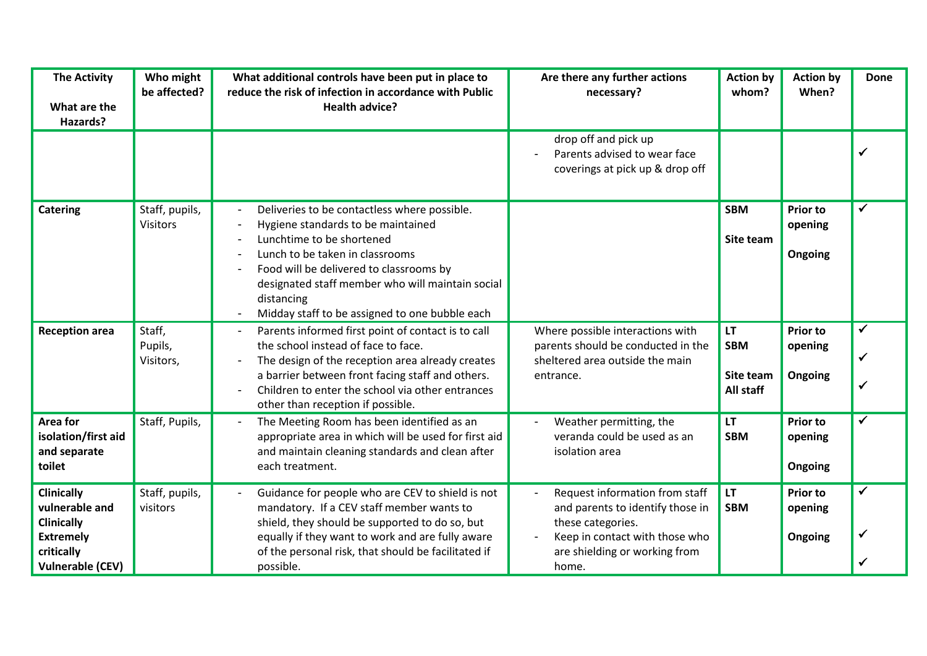| <b>The Activity</b><br>What are the<br>Hazards?                                                                       | Who might<br>be affected?         | What additional controls have been put in place to<br>reduce the risk of infection in accordance with Public<br><b>Health advice?</b>                                                                                                                                                                             | Are there any further actions<br>necessary?                                                                                                                         | <b>Action by</b><br>whom?                         | <b>Action by</b><br>When?             | <b>Done</b>                  |
|-----------------------------------------------------------------------------------------------------------------------|-----------------------------------|-------------------------------------------------------------------------------------------------------------------------------------------------------------------------------------------------------------------------------------------------------------------------------------------------------------------|---------------------------------------------------------------------------------------------------------------------------------------------------------------------|---------------------------------------------------|---------------------------------------|------------------------------|
|                                                                                                                       |                                   |                                                                                                                                                                                                                                                                                                                   | drop off and pick up<br>Parents advised to wear face<br>coverings at pick up & drop off                                                                             |                                                   |                                       | $\checkmark$                 |
| <b>Catering</b>                                                                                                       | Staff, pupils,<br><b>Visitors</b> | Deliveries to be contactless where possible.<br>Hygiene standards to be maintained<br>Lunchtime to be shortened<br>Lunch to be taken in classrooms<br>Food will be delivered to classrooms by<br>designated staff member who will maintain social<br>distancing<br>Midday staff to be assigned to one bubble each |                                                                                                                                                                     | <b>SBM</b><br>Site team                           | <b>Prior to</b><br>opening<br>Ongoing |                              |
| <b>Reception area</b>                                                                                                 | Staff,<br>Pupils,<br>Visitors,    | Parents informed first point of contact is to call<br>the school instead of face to face.<br>The design of the reception area already creates<br>a barrier between front facing staff and others.<br>Children to enter the school via other entrances<br>other than reception if possible.                        | Where possible interactions with<br>parents should be conducted in the<br>sheltered area outside the main<br>entrance.                                              | <b>LT</b><br><b>SBM</b><br>Site team<br>All staff | <b>Prior to</b><br>opening<br>Ongoing | $\checkmark$<br>✓            |
| Area for<br>isolation/first aid<br>and separate<br>toilet                                                             | Staff, Pupils,                    | The Meeting Room has been identified as an<br>appropriate area in which will be used for first aid<br>and maintain cleaning standards and clean after<br>each treatment.                                                                                                                                          | Weather permitting, the<br>veranda could be used as an<br>isolation area                                                                                            | LT.<br><b>SBM</b>                                 | <b>Prior to</b><br>opening<br>Ongoing | $\checkmark$                 |
| <b>Clinically</b><br>vulnerable and<br><b>Clinically</b><br><b>Extremely</b><br>critically<br><b>Vulnerable (CEV)</b> | Staff, pupils,<br>visitors        | Guidance for people who are CEV to shield is not<br>mandatory. If a CEV staff member wants to<br>shield, they should be supported to do so, but<br>equally if they want to work and are fully aware<br>of the personal risk, that should be facilitated if<br>possible.                                           | Request information from staff<br>and parents to identify those in<br>these categories.<br>Keep in contact with those who<br>are shielding or working from<br>home. | <b>LT</b><br><b>SBM</b>                           | <b>Prior to</b><br>opening<br>Ongoing | $\checkmark$<br>$\checkmark$ |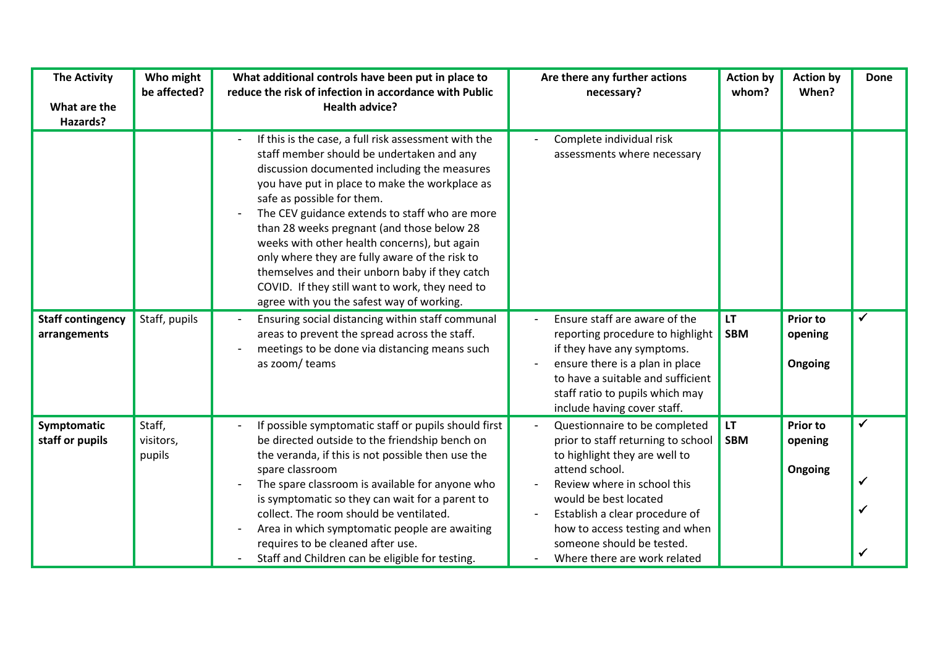| <b>The Activity</b><br>What are the<br>Hazards? | Who might<br>be affected?     | What additional controls have been put in place to<br>reduce the risk of infection in accordance with Public<br><b>Health advice?</b>                                                                                                                                                                                                                                                                                                                                                                                                                                                 | Are there any further actions<br>necessary?                                                                                                                                                                                                                                                                     | <b>Action by</b><br>whom? | <b>Action by</b><br>When?             | <b>Done</b> |
|-------------------------------------------------|-------------------------------|---------------------------------------------------------------------------------------------------------------------------------------------------------------------------------------------------------------------------------------------------------------------------------------------------------------------------------------------------------------------------------------------------------------------------------------------------------------------------------------------------------------------------------------------------------------------------------------|-----------------------------------------------------------------------------------------------------------------------------------------------------------------------------------------------------------------------------------------------------------------------------------------------------------------|---------------------------|---------------------------------------|-------------|
|                                                 |                               | If this is the case, a full risk assessment with the<br>staff member should be undertaken and any<br>discussion documented including the measures<br>you have put in place to make the workplace as<br>safe as possible for them.<br>The CEV guidance extends to staff who are more<br>than 28 weeks pregnant (and those below 28<br>weeks with other health concerns), but again<br>only where they are fully aware of the risk to<br>themselves and their unborn baby if they catch<br>COVID. If they still want to work, they need to<br>agree with you the safest way of working. | Complete individual risk<br>assessments where necessary                                                                                                                                                                                                                                                         |                           |                                       |             |
| <b>Staff contingency</b><br>arrangements        | Staff, pupils                 | Ensuring social distancing within staff communal<br>areas to prevent the spread across the staff.<br>meetings to be done via distancing means such<br>as zoom/ teams                                                                                                                                                                                                                                                                                                                                                                                                                  | Ensure staff are aware of the<br>reporting procedure to highlight<br>if they have any symptoms.<br>ensure there is a plan in place<br>to have a suitable and sufficient<br>staff ratio to pupils which may<br>include having cover staff.                                                                       | <b>LT</b><br><b>SBM</b>   | <b>Prior to</b><br>opening<br>Ongoing | ✓           |
| Symptomatic<br>staff or pupils                  | Staff,<br>visitors,<br>pupils | If possible symptomatic staff or pupils should first<br>be directed outside to the friendship bench on<br>the veranda, if this is not possible then use the<br>spare classroom<br>The spare classroom is available for anyone who<br>is symptomatic so they can wait for a parent to<br>collect. The room should be ventilated.<br>Area in which symptomatic people are awaiting<br>requires to be cleaned after use.<br>Staff and Children can be eligible for testing.                                                                                                              | Questionnaire to be completed<br>prior to staff returning to school<br>to highlight they are well to<br>attend school.<br>Review where in school this<br>would be best located<br>Establish a clear procedure of<br>how to access testing and when<br>someone should be tested.<br>Where there are work related | LT.<br><b>SBM</b>         | <b>Prior to</b><br>opening<br>Ongoing | ✓           |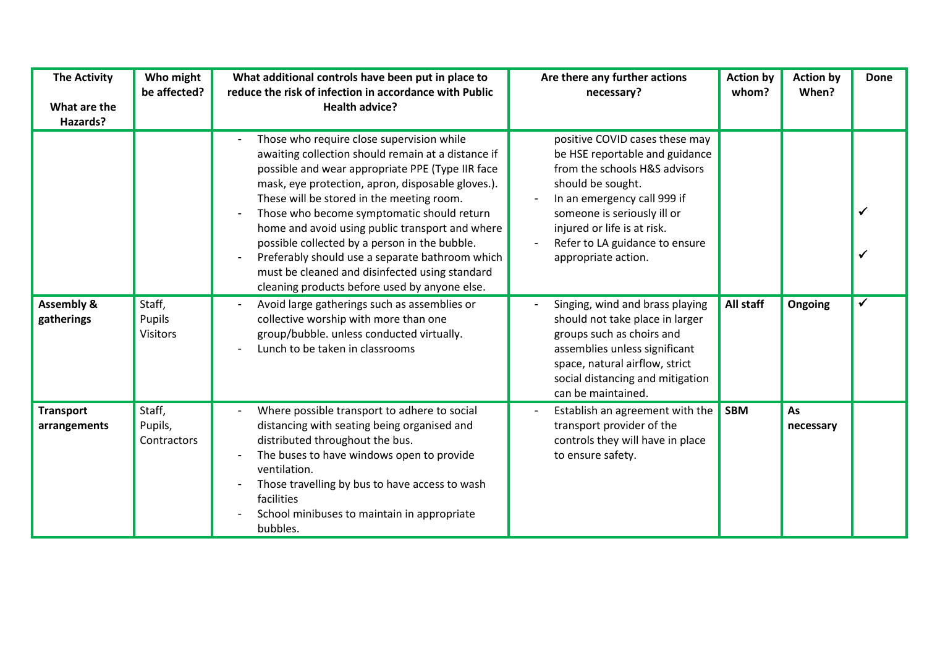| <b>The Activity</b><br>What are the<br>Hazards? | Who might<br>be affected?                  | What additional controls have been put in place to<br>reduce the risk of infection in accordance with Public<br><b>Health advice?</b>                                                                                                                                                                                                                                                                                                                                                                                                                         | Are there any further actions<br>necessary?                                                                                                                                                                                                                                  | <b>Action by</b><br>whom? | <b>Action by</b><br>When? | <b>Done</b> |
|-------------------------------------------------|--------------------------------------------|---------------------------------------------------------------------------------------------------------------------------------------------------------------------------------------------------------------------------------------------------------------------------------------------------------------------------------------------------------------------------------------------------------------------------------------------------------------------------------------------------------------------------------------------------------------|------------------------------------------------------------------------------------------------------------------------------------------------------------------------------------------------------------------------------------------------------------------------------|---------------------------|---------------------------|-------------|
|                                                 |                                            | Those who require close supervision while<br>awaiting collection should remain at a distance if<br>possible and wear appropriate PPE (Type IIR face<br>mask, eye protection, apron, disposable gloves.).<br>These will be stored in the meeting room.<br>Those who become symptomatic should return<br>home and avoid using public transport and where<br>possible collected by a person in the bubble.<br>Preferably should use a separate bathroom which<br>must be cleaned and disinfected using standard<br>cleaning products before used by anyone else. | positive COVID cases these may<br>be HSE reportable and guidance<br>from the schools H&S advisors<br>should be sought.<br>In an emergency call 999 if<br>someone is seriously ill or<br>injured or life is at risk.<br>Refer to LA guidance to ensure<br>appropriate action. |                           |                           |             |
| <b>Assembly &amp;</b><br>gatherings             | Staff,<br><b>Pupils</b><br><b>Visitors</b> | Avoid large gatherings such as assemblies or<br>collective worship with more than one<br>group/bubble. unless conducted virtually.<br>Lunch to be taken in classrooms                                                                                                                                                                                                                                                                                                                                                                                         | Singing, wind and brass playing<br>should not take place in larger<br>groups such as choirs and<br>assemblies unless significant<br>space, natural airflow, strict<br>social distancing and mitigation<br>can be maintained.                                                 | All staff                 | Ongoing                   |             |
| <b>Transport</b><br>arrangements                | Staff,<br>Pupils,<br>Contractors           | Where possible transport to adhere to social<br>distancing with seating being organised and<br>distributed throughout the bus.<br>The buses to have windows open to provide<br>ventilation.<br>Those travelling by bus to have access to wash<br>facilities<br>School minibuses to maintain in appropriate<br>bubbles.                                                                                                                                                                                                                                        | Establish an agreement with the<br>transport provider of the<br>controls they will have in place<br>to ensure safety.                                                                                                                                                        | <b>SBM</b>                | As<br>necessary           |             |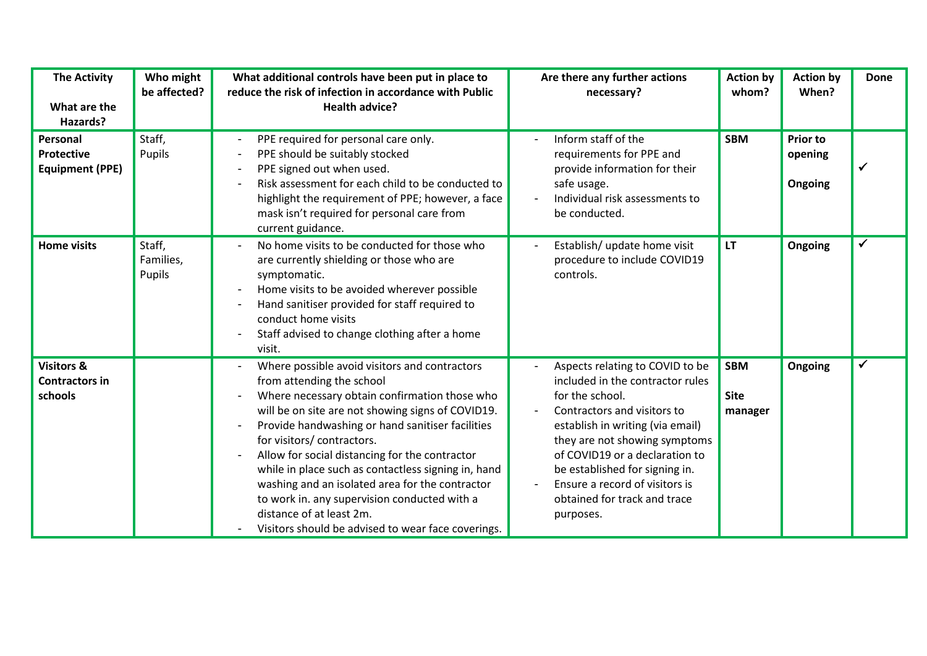| <b>The Activity</b><br>What are the<br>Hazards?           | Who might<br>be affected?     | What additional controls have been put in place to<br>reduce the risk of infection in accordance with Public<br><b>Health advice?</b>                                                                                                                                                                                                                                                                                                                                                                                                                           | Are there any further actions<br>necessary?                                                                                                                                                                                                                                                                                                   | <b>Action by</b><br>whom?            | <b>Action by</b><br>When?             | <b>Done</b> |
|-----------------------------------------------------------|-------------------------------|-----------------------------------------------------------------------------------------------------------------------------------------------------------------------------------------------------------------------------------------------------------------------------------------------------------------------------------------------------------------------------------------------------------------------------------------------------------------------------------------------------------------------------------------------------------------|-----------------------------------------------------------------------------------------------------------------------------------------------------------------------------------------------------------------------------------------------------------------------------------------------------------------------------------------------|--------------------------------------|---------------------------------------|-------------|
| Personal<br><b>Protective</b><br><b>Equipment (PPE)</b>   | Staff,<br>Pupils              | PPE required for personal care only.<br>PPE should be suitably stocked<br>PPE signed out when used.<br>Risk assessment for each child to be conducted to<br>highlight the requirement of PPE; however, a face<br>mask isn't required for personal care from<br>current guidance.                                                                                                                                                                                                                                                                                | Inform staff of the<br>requirements for PPE and<br>provide information for their<br>safe usage.<br>Individual risk assessments to<br>be conducted.                                                                                                                                                                                            | <b>SBM</b>                           | <b>Prior to</b><br>opening<br>Ongoing |             |
| <b>Home visits</b>                                        | Staff,<br>Families,<br>Pupils | No home visits to be conducted for those who<br>are currently shielding or those who are<br>symptomatic.<br>Home visits to be avoided wherever possible<br>Hand sanitiser provided for staff required to<br>conduct home visits<br>Staff advised to change clothing after a home<br>visit.                                                                                                                                                                                                                                                                      | Establish/ update home visit<br>procedure to include COVID19<br>controls.                                                                                                                                                                                                                                                                     | <b>LT</b>                            | Ongoing                               |             |
| <b>Visitors &amp;</b><br><b>Contractors in</b><br>schools |                               | Where possible avoid visitors and contractors<br>from attending the school<br>Where necessary obtain confirmation those who<br>will be on site are not showing signs of COVID19.<br>Provide handwashing or hand sanitiser facilities<br>for visitors/contractors.<br>Allow for social distancing for the contractor<br>while in place such as contactless signing in, hand<br>washing and an isolated area for the contractor<br>to work in. any supervision conducted with a<br>distance of at least 2m.<br>Visitors should be advised to wear face coverings. | Aspects relating to COVID to be<br>included in the contractor rules<br>for the school.<br>Contractors and visitors to<br>establish in writing (via email)<br>they are not showing symptoms<br>of COVID19 or a declaration to<br>be established for signing in.<br>Ensure a record of visitors is<br>obtained for track and trace<br>purposes. | <b>SBM</b><br><b>Site</b><br>manager | Ongoing                               |             |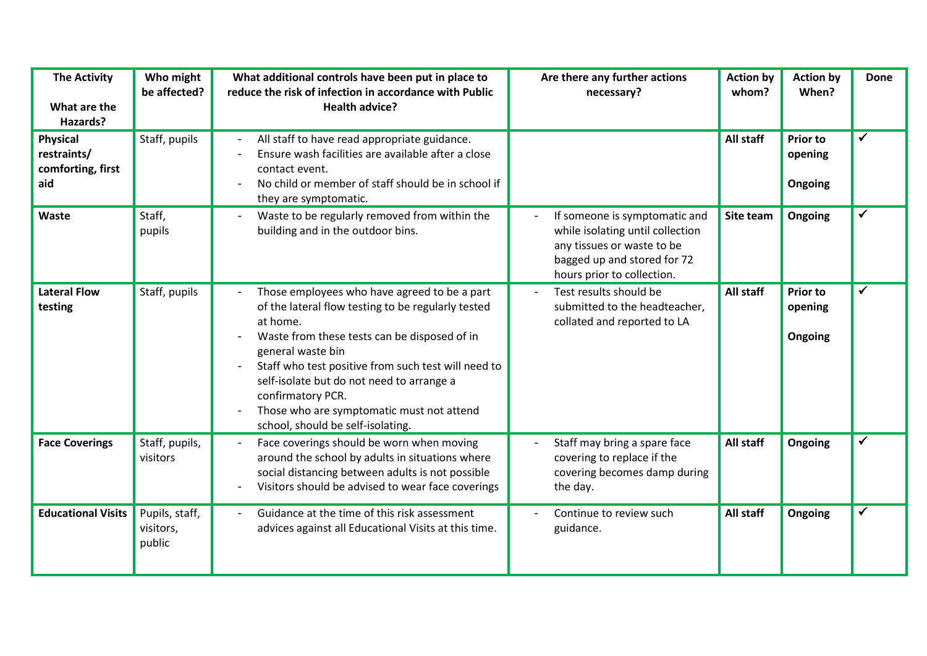| <b>The Activity</b><br>What are the<br>Hazards?            | Who might<br>be affected?             | What additional controls have been put in place to<br>reduce the risk of infection in accordance with Public<br><b>Health advice?</b>                                                                                                                                                                                                                                                          | Are there any further actions<br>necessary?                                                                                                                  | <b>Action by</b><br>whom? | <b>Action by</b><br>When?             | <b>Done</b>  |
|------------------------------------------------------------|---------------------------------------|------------------------------------------------------------------------------------------------------------------------------------------------------------------------------------------------------------------------------------------------------------------------------------------------------------------------------------------------------------------------------------------------|--------------------------------------------------------------------------------------------------------------------------------------------------------------|---------------------------|---------------------------------------|--------------|
| <b>Physical</b><br>restraints/<br>comforting, first<br>aid | Staff, pupils                         | All staff to have read appropriate guidance.<br>Ensure wash facilities are available after a close<br>contact event.<br>No child or member of staff should be in school if<br>they are symptomatic.                                                                                                                                                                                            |                                                                                                                                                              | All staff                 | <b>Prior to</b><br>opening<br>Ongoing | ✓            |
| Waste                                                      | Staff,<br>pupils                      | Waste to be regularly removed from within the<br>building and in the outdoor bins.                                                                                                                                                                                                                                                                                                             | If someone is symptomatic and<br>while isolating until collection<br>any tissues or waste to be<br>bagged up and stored for 72<br>hours prior to collection. | Site team                 | Ongoing                               | ✓            |
| <b>Lateral Flow</b><br>testing                             | Staff, pupils                         | Those employees who have agreed to be a part<br>of the lateral flow testing to be regularly tested<br>at home.<br>Waste from these tests can be disposed of in<br>general waste bin<br>Staff who test positive from such test will need to<br>self-isolate but do not need to arrange a<br>confirmatory PCR.<br>Those who are symptomatic must not attend<br>school, should be self-isolating. | Test results should be<br>submitted to the headteacher,<br>collated and reported to LA                                                                       | All staff                 | <b>Prior to</b><br>opening<br>Ongoing | ✔            |
| <b>Face Coverings</b>                                      | Staff, pupils,<br>visitors            | Face coverings should be worn when moving<br>around the school by adults in situations where<br>social distancing between adults is not possible<br>Visitors should be advised to wear face coverings                                                                                                                                                                                          | Staff may bring a spare face<br>covering to replace if the<br>covering becomes damp during<br>the day.                                                       | All staff                 | Ongoing                               |              |
| <b>Educational Visits</b>                                  | Pupils, staff,<br>visitors,<br>public | Guidance at the time of this risk assessment<br>advices against all Educational Visits at this time.                                                                                                                                                                                                                                                                                           | Continue to review such<br>guidance.                                                                                                                         | All staff                 | Ongoing                               | $\checkmark$ |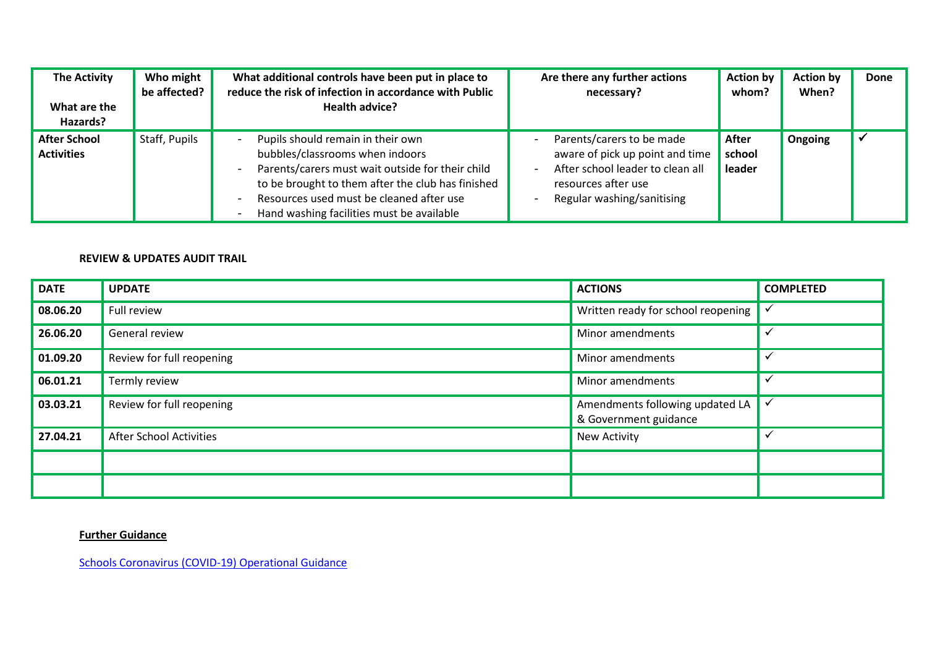| <b>The Activity</b><br>What are the<br>Hazards? | Who might<br>be affected? | What additional controls have been put in place to<br>reduce the risk of infection in accordance with Public<br>Health advice?                                                                                                                                         | Are there any further actions<br>necessary?                                                                                                           | <b>Action by</b><br>whom? | <b>Action by</b><br>When? | Done |
|-------------------------------------------------|---------------------------|------------------------------------------------------------------------------------------------------------------------------------------------------------------------------------------------------------------------------------------------------------------------|-------------------------------------------------------------------------------------------------------------------------------------------------------|---------------------------|---------------------------|------|
| <b>After School</b><br><b>Activities</b>        | Staff, Pupils             | Pupils should remain in their own<br>bubbles/classrooms when indoors<br>Parents/carers must wait outside for their child<br>to be brought to them after the club has finished<br>Resources used must be cleaned after use<br>Hand washing facilities must be available | Parents/carers to be made<br>aware of pick up point and time<br>After school leader to clean all<br>resources after use<br>Regular washing/sanitising | After<br>school<br>leader | Ongoing                   |      |

## **REVIEW & UPDATES AUDIT TRAIL**

| <b>DATE</b> | <b>UPDATE</b>                  | <b>ACTIONS</b>                                           | <b>COMPLETED</b> |
|-------------|--------------------------------|----------------------------------------------------------|------------------|
| 08.06.20    | Full review                    | Written ready for school reopening                       | $\checkmark$     |
| 26.06.20    | General review                 | Minor amendments                                         | $\checkmark$     |
| 01.09.20    | Review for full reopening      | Minor amendments                                         | $\checkmark$     |
| 06.01.21    | Termly review                  | Minor amendments                                         | $\checkmark$     |
| 03.03.21    | Review for full reopening      | Amendments following updated LA<br>& Government guidance | $\checkmark$     |
| 27.04.21    | <b>After School Activities</b> | <b>New Activity</b>                                      | $\checkmark$     |
|             |                                |                                                          |                  |
|             |                                |                                                          |                  |

## **Further Guidance**

[Schools Coronavirus \(COVID-19\) Operational Guidance](https://assets.publishing.service.gov.uk/government/uploads/system/uploads/attachment_data/file/964351/Schools_coronavirus_operational_guidance.pdf)